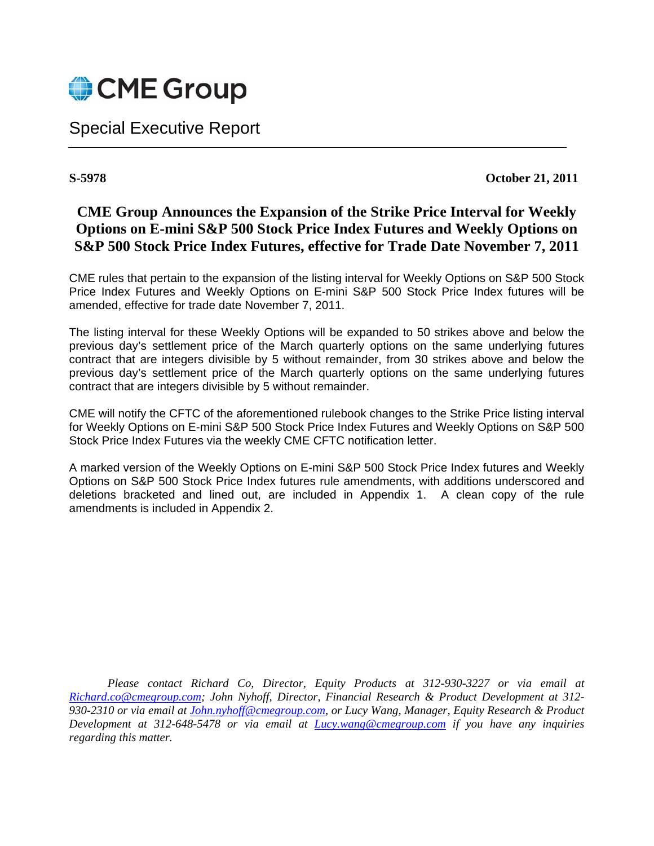

Special Executive Report

**S-5978 October 21, 2011** 

# **CME Group Announces the Expansion of the Strike Price Interval for Weekly Options on E-mini S&P 500 Stock Price Index Futures and Weekly Options on S&P 500 Stock Price Index Futures, effective for Trade Date November 7, 2011**

CME rules that pertain to the expansion of the listing interval for Weekly Options on S&P 500 Stock Price Index Futures and Weekly Options on E-mini S&P 500 Stock Price Index futures will be amended, effective for trade date November 7, 2011.

The listing interval for these Weekly Options will be expanded to 50 strikes above and below the previous day's settlement price of the March quarterly options on the same underlying futures contract that are integers divisible by 5 without remainder, from 30 strikes above and below the previous day's settlement price of the March quarterly options on the same underlying futures contract that are integers divisible by 5 without remainder.

CME will notify the CFTC of the aforementioned rulebook changes to the Strike Price listing interval for Weekly Options on E-mini S&P 500 Stock Price Index Futures and Weekly Options on S&P 500 Stock Price Index Futures via the weekly CME CFTC notification letter.

A marked version of the Weekly Options on E-mini S&P 500 Stock Price Index futures and Weekly Options on S&P 500 Stock Price Index futures rule amendments, with additions underscored and deletions bracketed and lined out, are included in Appendix 1. A clean copy of the rule amendments is included in Appendix 2.

*Please contact Richard Co, Director, Equity Products at 312-930-3227 or via email at Richard.co@cmegroup.com; John Nyhoff, Director, Financial Research & Product Development at 312- 930-2310 or via email at John.nyhoff@cmegroup.com, or Lucy Wang, Manager, Equity Research & Product Development at 312-648-5478 or via email at Lucy.wang@cmegroup.com if you have any inquiries regarding this matter.*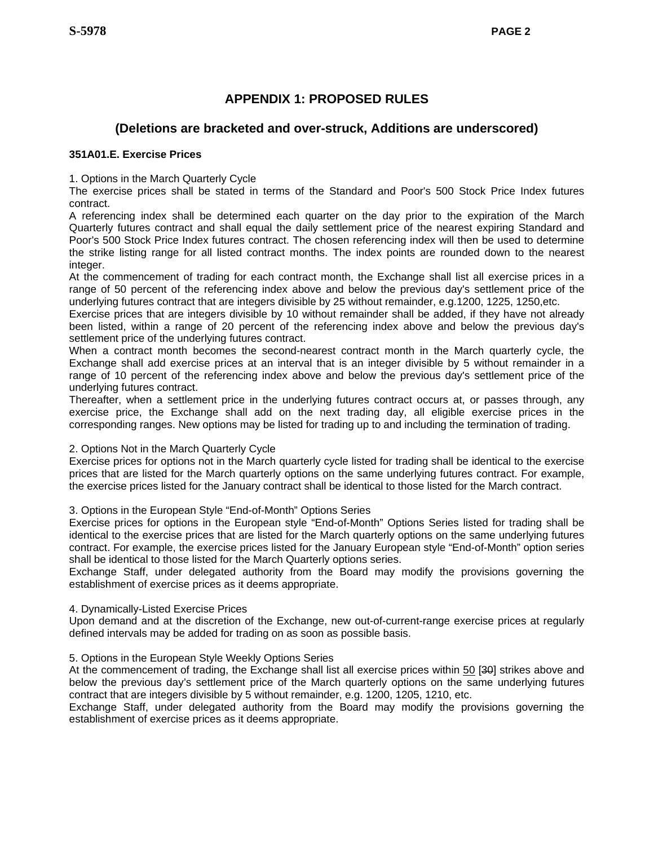# **APPENDIX 1: PROPOSED RULES**

# **(Deletions are bracketed and over-struck, Additions are underscored)**

## **351A01.E. Exercise Prices**

1. Options in the March Quarterly Cycle

The exercise prices shall be stated in terms of the Standard and Poor's 500 Stock Price Index futures contract.

A referencing index shall be determined each quarter on the day prior to the expiration of the March Quarterly futures contract and shall equal the daily settlement price of the nearest expiring Standard and Poor's 500 Stock Price Index futures contract. The chosen referencing index will then be used to determine the strike listing range for all listed contract months. The index points are rounded down to the nearest integer.

At the commencement of trading for each contract month, the Exchange shall list all exercise prices in a range of 50 percent of the referencing index above and below the previous day's settlement price of the underlying futures contract that are integers divisible by 25 without remainder, e.g.1200, 1225, 1250,etc.

Exercise prices that are integers divisible by 10 without remainder shall be added, if they have not already been listed, within a range of 20 percent of the referencing index above and below the previous day's settlement price of the underlying futures contract.

When a contract month becomes the second-nearest contract month in the March quarterly cycle, the Exchange shall add exercise prices at an interval that is an integer divisible by 5 without remainder in a range of 10 percent of the referencing index above and below the previous day's settlement price of the underlying futures contract.

Thereafter, when a settlement price in the underlying futures contract occurs at, or passes through, any exercise price, the Exchange shall add on the next trading day, all eligible exercise prices in the corresponding ranges. New options may be listed for trading up to and including the termination of trading.

### 2. Options Not in the March Quarterly Cycle

Exercise prices for options not in the March quarterly cycle listed for trading shall be identical to the exercise prices that are listed for the March quarterly options on the same underlying futures contract. For example, the exercise prices listed for the January contract shall be identical to those listed for the March contract.

3. Options in the European Style "End-of-Month" Options Series

Exercise prices for options in the European style "End-of-Month" Options Series listed for trading shall be identical to the exercise prices that are listed for the March quarterly options on the same underlying futures contract. For example, the exercise prices listed for the January European style "End-of-Month" option series shall be identical to those listed for the March Quarterly options series.

Exchange Staff, under delegated authority from the Board may modify the provisions governing the establishment of exercise prices as it deems appropriate.

4. Dynamically-Listed Exercise Prices

Upon demand and at the discretion of the Exchange, new out-of-current-range exercise prices at regularly defined intervals may be added for trading on as soon as possible basis.

## 5. Options in the European Style Weekly Options Series

At the commencement of trading, the Exchange shall list all exercise prices within 50 [30] strikes above and below the previous day's settlement price of the March quarterly options on the same underlying futures contract that are integers divisible by 5 without remainder, e.g. 1200, 1205, 1210, etc.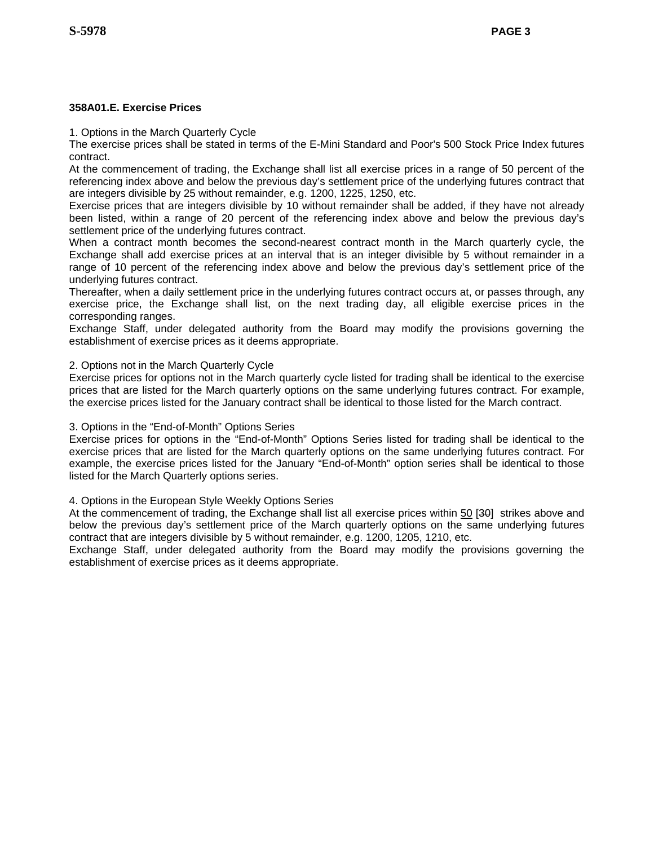## **358A01.E. Exercise Prices**

1. Options in the March Quarterly Cycle

The exercise prices shall be stated in terms of the E-Mini Standard and Poor's 500 Stock Price Index futures contract.

At the commencement of trading, the Exchange shall list all exercise prices in a range of 50 percent of the referencing index above and below the previous day's settlement price of the underlying futures contract that are integers divisible by 25 without remainder, e.g. 1200, 1225, 1250, etc.

Exercise prices that are integers divisible by 10 without remainder shall be added, if they have not already been listed, within a range of 20 percent of the referencing index above and below the previous day's settlement price of the underlying futures contract.

When a contract month becomes the second-nearest contract month in the March quarterly cycle, the Exchange shall add exercise prices at an interval that is an integer divisible by 5 without remainder in a range of 10 percent of the referencing index above and below the previous day's settlement price of the underlying futures contract.

Thereafter, when a daily settlement price in the underlying futures contract occurs at, or passes through, any exercise price, the Exchange shall list, on the next trading day, all eligible exercise prices in the corresponding ranges.

Exchange Staff, under delegated authority from the Board may modify the provisions governing the establishment of exercise prices as it deems appropriate.

## 2. Options not in the March Quarterly Cycle

Exercise prices for options not in the March quarterly cycle listed for trading shall be identical to the exercise prices that are listed for the March quarterly options on the same underlying futures contract. For example, the exercise prices listed for the January contract shall be identical to those listed for the March contract.

## 3. Options in the "End-of-Month" Options Series

Exercise prices for options in the "End-of-Month" Options Series listed for trading shall be identical to the exercise prices that are listed for the March quarterly options on the same underlying futures contract. For example, the exercise prices listed for the January "End-of-Month" option series shall be identical to those listed for the March Quarterly options series.

4. Options in the European Style Weekly Options Series

At the commencement of trading, the Exchange shall list all exercise prices within 50 [30] strikes above and below the previous day's settlement price of the March quarterly options on the same underlying futures contract that are integers divisible by 5 without remainder, e.g. 1200, 1205, 1210, etc.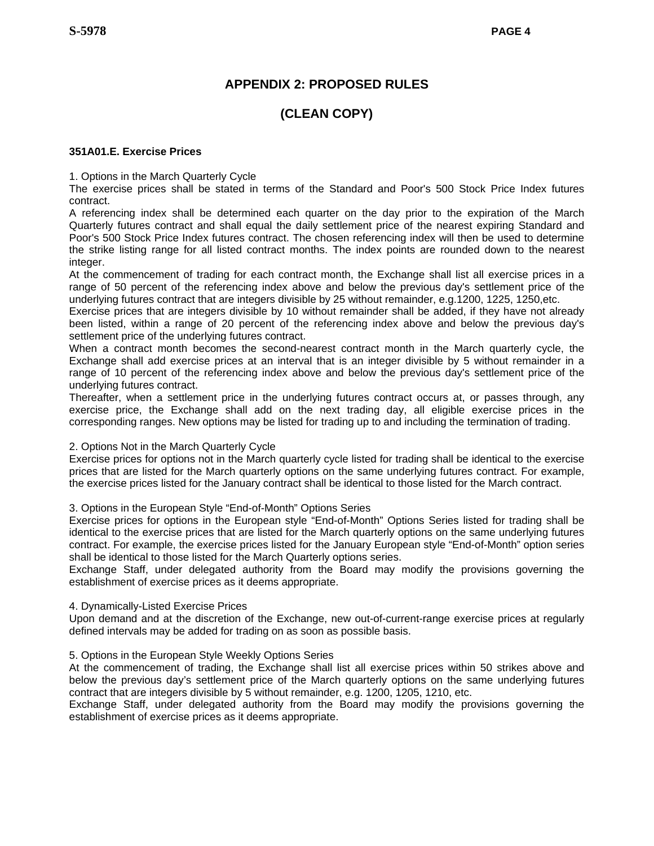# **APPENDIX 2: PROPOSED RULES**

# **(CLEAN COPY)**

## **351A01.E. Exercise Prices**

1. Options in the March Quarterly Cycle

The exercise prices shall be stated in terms of the Standard and Poor's 500 Stock Price Index futures contract.

A referencing index shall be determined each quarter on the day prior to the expiration of the March Quarterly futures contract and shall equal the daily settlement price of the nearest expiring Standard and Poor's 500 Stock Price Index futures contract. The chosen referencing index will then be used to determine the strike listing range for all listed contract months. The index points are rounded down to the nearest integer.

At the commencement of trading for each contract month, the Exchange shall list all exercise prices in a range of 50 percent of the referencing index above and below the previous day's settlement price of the underlying futures contract that are integers divisible by 25 without remainder, e.g.1200, 1225, 1250,etc.

Exercise prices that are integers divisible by 10 without remainder shall be added, if they have not already been listed, within a range of 20 percent of the referencing index above and below the previous day's settlement price of the underlying futures contract.

When a contract month becomes the second-nearest contract month in the March quarterly cycle, the Exchange shall add exercise prices at an interval that is an integer divisible by 5 without remainder in a range of 10 percent of the referencing index above and below the previous day's settlement price of the underlying futures contract.

Thereafter, when a settlement price in the underlying futures contract occurs at, or passes through, any exercise price, the Exchange shall add on the next trading day, all eligible exercise prices in the corresponding ranges. New options may be listed for trading up to and including the termination of trading.

### 2. Options Not in the March Quarterly Cycle

Exercise prices for options not in the March quarterly cycle listed for trading shall be identical to the exercise prices that are listed for the March quarterly options on the same underlying futures contract. For example, the exercise prices listed for the January contract shall be identical to those listed for the March contract.

### 3. Options in the European Style "End-of-Month" Options Series

Exercise prices for options in the European style "End-of-Month" Options Series listed for trading shall be identical to the exercise prices that are listed for the March quarterly options on the same underlying futures contract. For example, the exercise prices listed for the January European style "End-of-Month" option series shall be identical to those listed for the March Quarterly options series.

Exchange Staff, under delegated authority from the Board may modify the provisions governing the establishment of exercise prices as it deems appropriate.

### 4. Dynamically-Listed Exercise Prices

Upon demand and at the discretion of the Exchange, new out-of-current-range exercise prices at regularly defined intervals may be added for trading on as soon as possible basis.

## 5. Options in the European Style Weekly Options Series

At the commencement of trading, the Exchange shall list all exercise prices within 50 strikes above and below the previous day's settlement price of the March quarterly options on the same underlying futures contract that are integers divisible by 5 without remainder, e.g. 1200, 1205, 1210, etc.